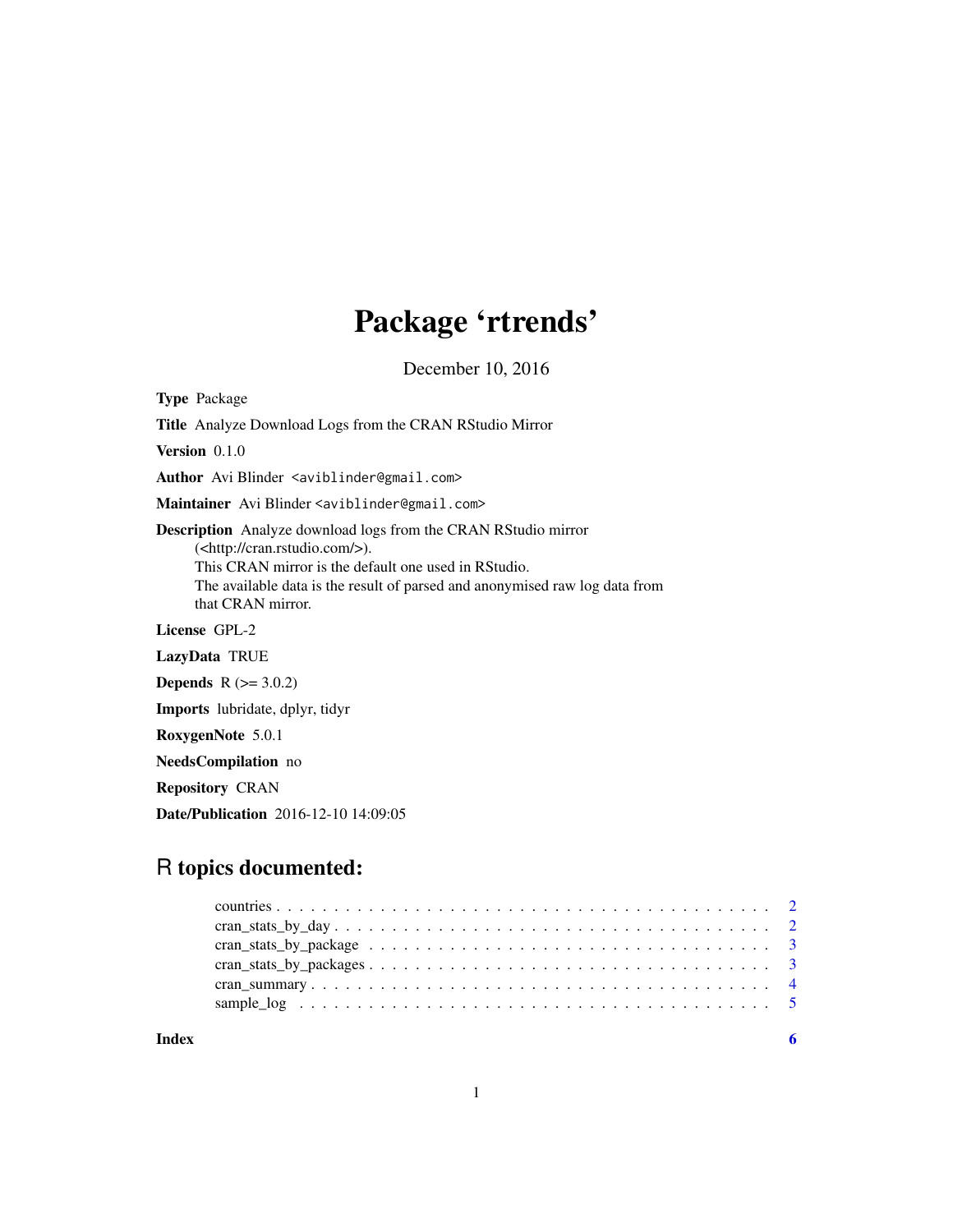## Package 'rtrends'

December 10, 2016

Type Package

Title Analyze Download Logs from the CRAN RStudio Mirror Version 0.1.0 Author Avi Blinder <aviblinder@gmail.com> Maintainer Avi Blinder <aviblinder@gmail.com> Description Analyze download logs from the CRAN RStudio mirror

(<http://cran.rstudio.com/>). This CRAN mirror is the default one used in RStudio. The available data is the result of parsed and anonymised raw log data from that CRAN mirror.

License GPL-2

LazyData TRUE

**Depends**  $R$  ( $>= 3.0.2$ )

Imports lubridate, dplyr, tidyr

RoxygenNote 5.0.1

NeedsCompilation no

Repository CRAN

Date/Publication 2016-12-10 14:09:05

### R topics documented:

| Index |  |
|-------|--|

1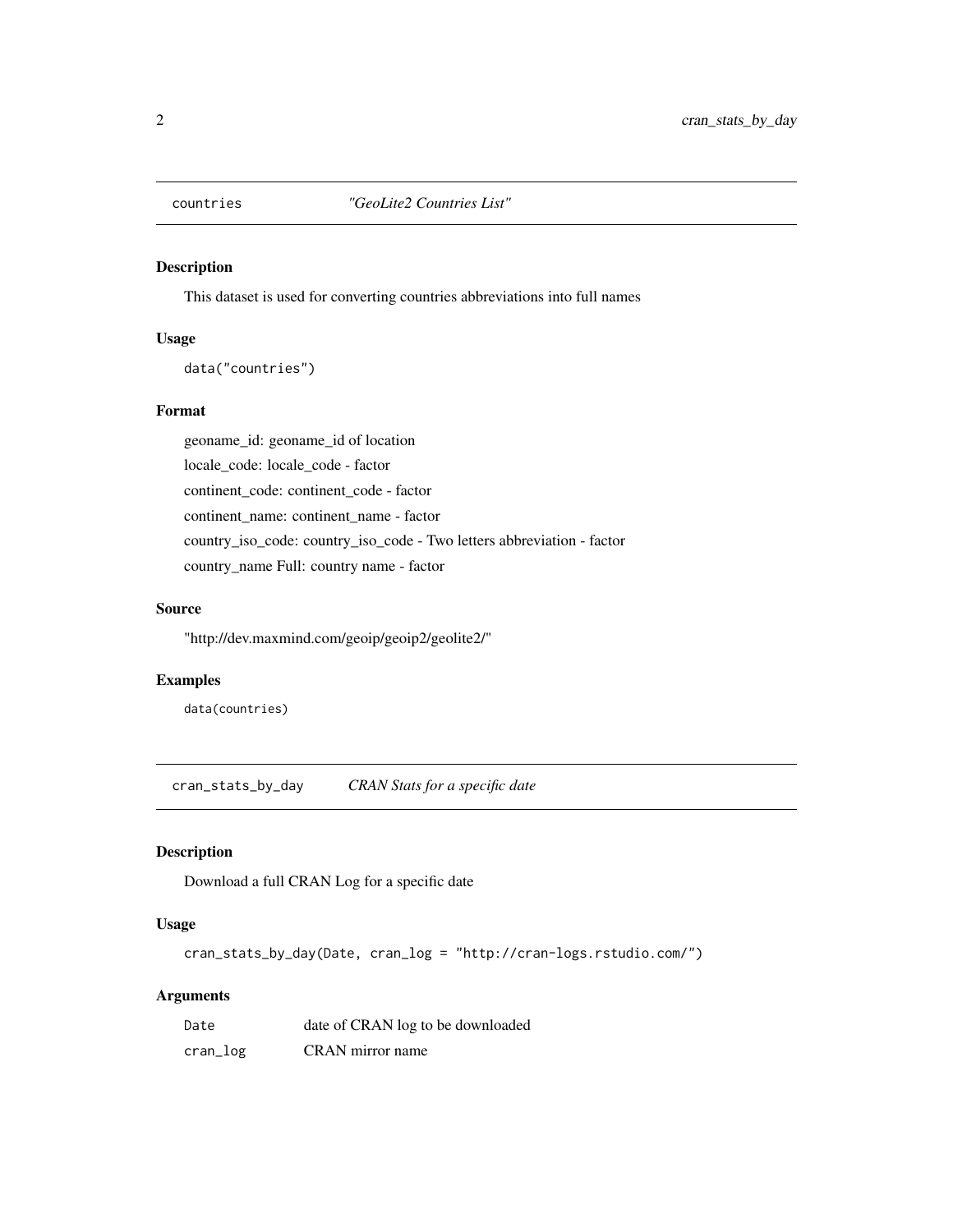<span id="page-1-0"></span>

#### Description

This dataset is used for converting countries abbreviations into full names

#### Usage

data("countries")

#### Format

geoname\_id: geoname\_id of location locale\_code: locale\_code - factor continent\_code: continent\_code - factor continent\_name: continent\_name - factor country\_iso\_code: country\_iso\_code - Two letters abbreviation - factor country\_name Full: country name - factor

#### Source

"http://dev.maxmind.com/geoip/geoip2/geolite2/"

#### Examples

data(countries)

cran\_stats\_by\_day *CRAN Stats for a specific date*

#### Description

Download a full CRAN Log for a specific date

#### Usage

cran\_stats\_by\_day(Date, cran\_log = "http://cran-logs.rstudio.com/")

#### Arguments

| Date     | date of CRAN log to be downloaded |
|----------|-----------------------------------|
| cran_log | CRAN mirror name                  |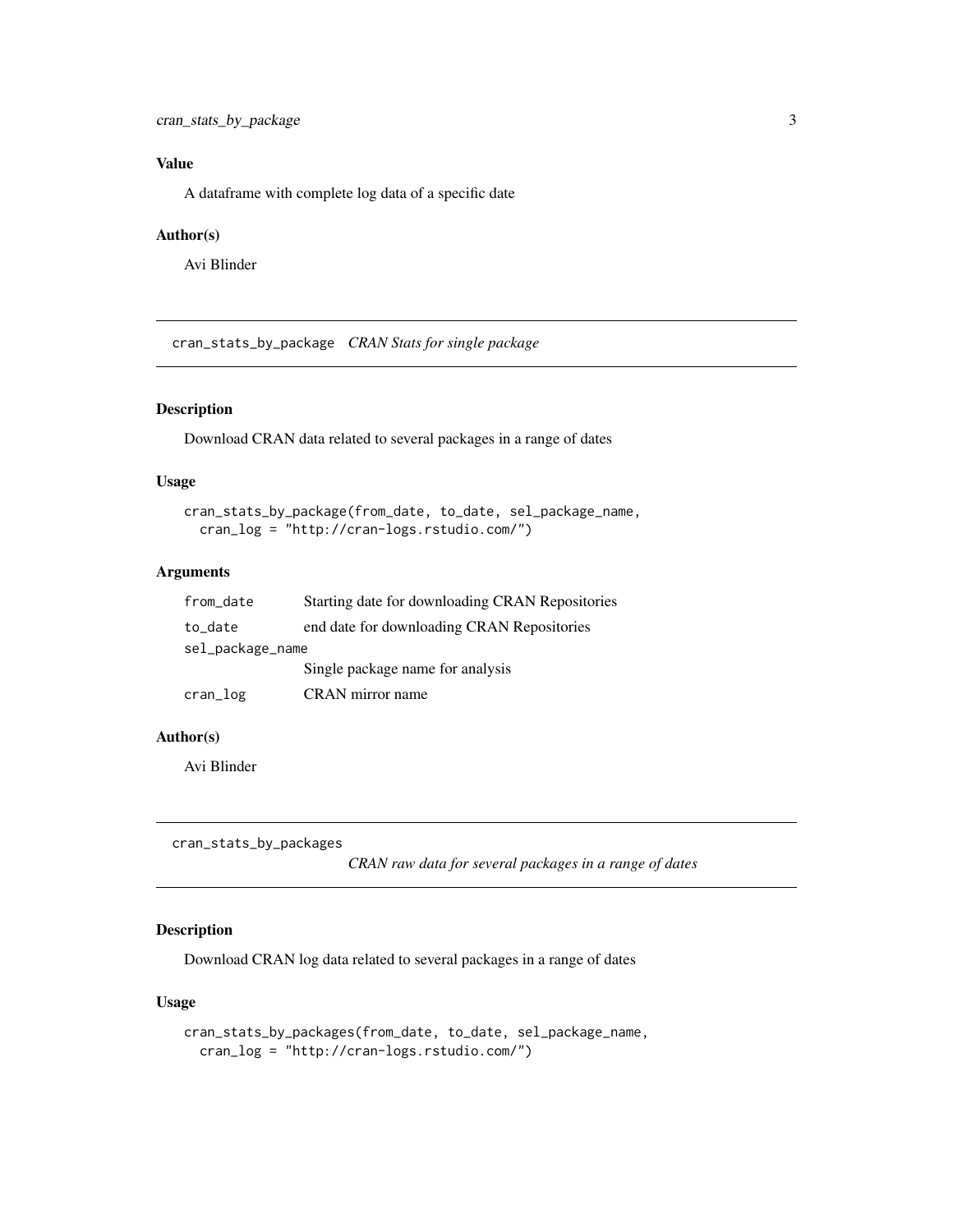#### <span id="page-2-0"></span>Value

A dataframe with complete log data of a specific date

#### Author(s)

Avi Blinder

cran\_stats\_by\_package *CRAN Stats for single package*

#### Description

Download CRAN data related to several packages in a range of dates

#### Usage

```
cran_stats_by_package(from_date, to_date, sel_package_name,
cran_log = "http://cran-logs.rstudio.com/")
```
#### Arguments

| from_date        | Starting date for downloading CRAN Repositories |  |  |  |  |
|------------------|-------------------------------------------------|--|--|--|--|
| to_date          | end date for downloading CRAN Repositories      |  |  |  |  |
| sel_package_name |                                                 |  |  |  |  |
|                  | Single package name for analysis                |  |  |  |  |
| cran_log         | CRAN mirror name                                |  |  |  |  |

#### Author(s)

Avi Blinder

cran\_stats\_by\_packages

*CRAN raw data for several packages in a range of dates*

#### Description

Download CRAN log data related to several packages in a range of dates

#### Usage

```
cran_stats_by_packages(from_date, to_date, sel_package_name,
cran_log = "http://cran-logs.rstudio.com/")
```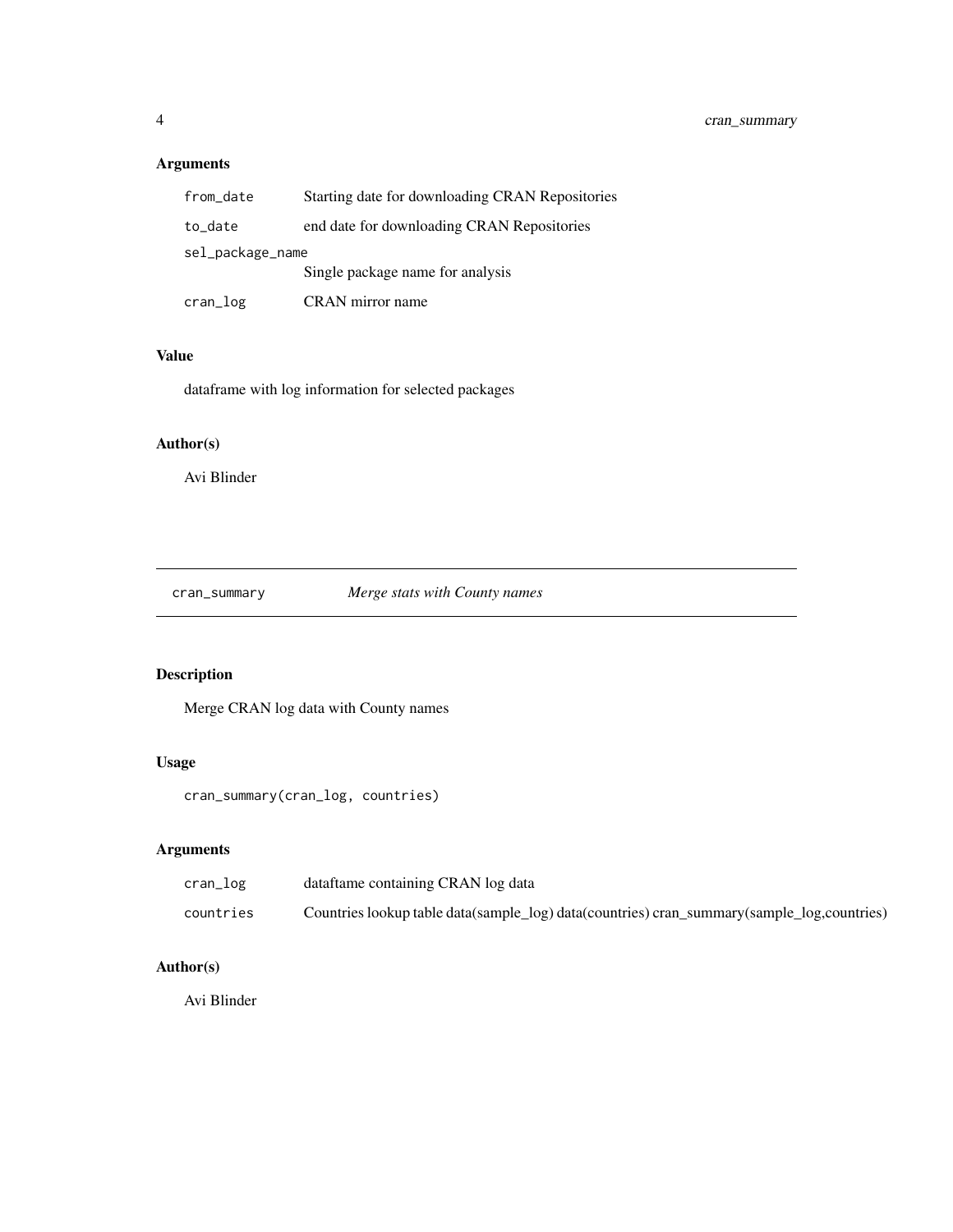#### <span id="page-3-0"></span>Arguments

| from_date        | Starting date for downloading CRAN Repositories |
|------------------|-------------------------------------------------|
| to_date          | end date for downloading CRAN Repositories      |
| sel_package_name |                                                 |
|                  | Single package name for analysis                |
| $cran\_log$      | CRAN mirror name                                |

#### Value

dataframe with log information for selected packages

#### Author(s)

Avi Blinder

cran\_summary *Merge stats with County names*

#### Description

Merge CRAN log data with County names

#### Usage

cran\_summary(cran\_log, countries)

#### Arguments

| cran_log  | dataftame containing CRAN log data                                                         |
|-----------|--------------------------------------------------------------------------------------------|
| countries | Countries lookup table data(sample_log) data(countries) cran_summary(sample_log,countries) |

#### Author(s)

Avi Blinder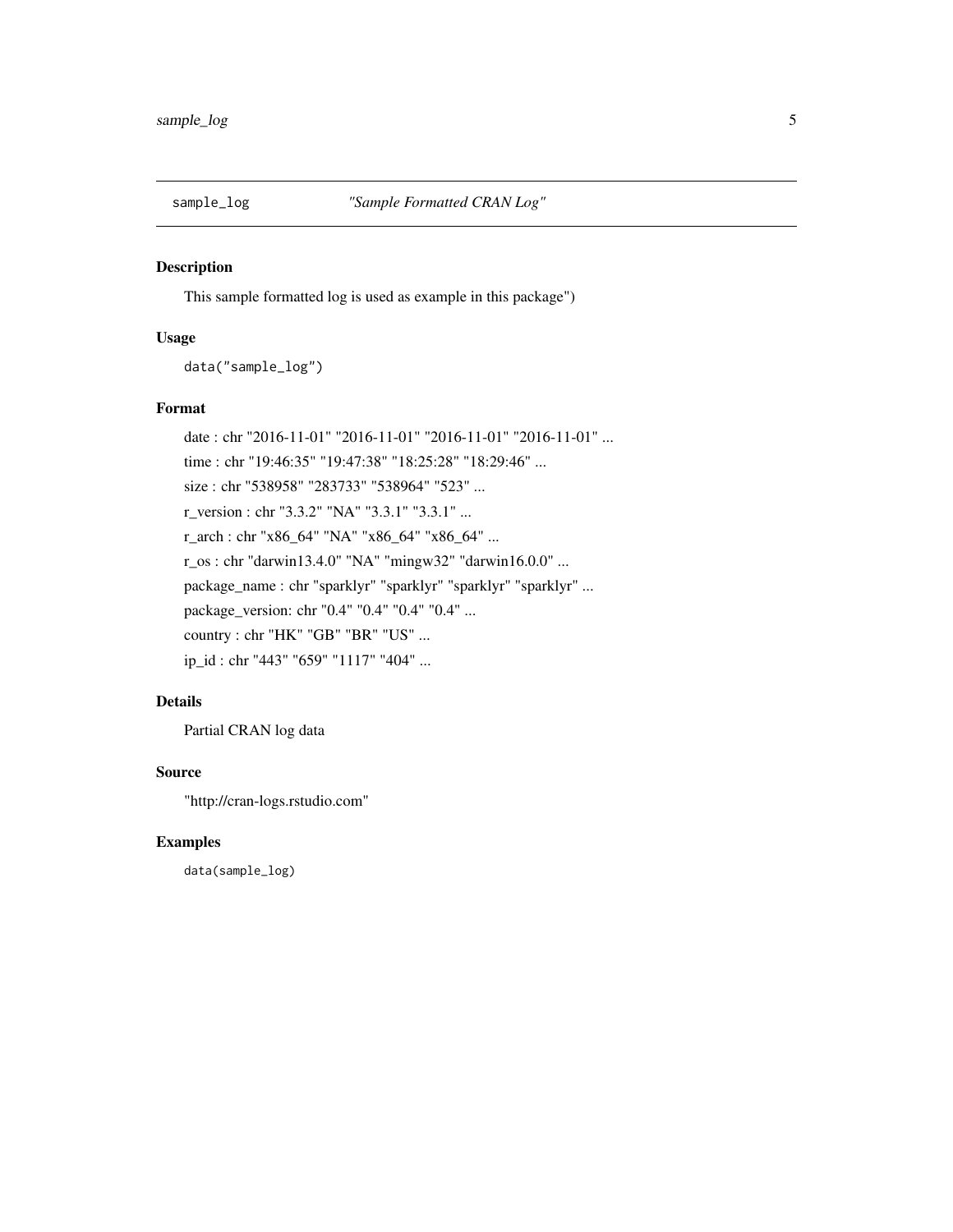<span id="page-4-0"></span>

#### Description

This sample formatted log is used as example in this package")

#### Usage

data("sample\_log")

#### Format

date : chr "2016-11-01" "2016-11-01" "2016-11-01" "2016-11-01" ... time : chr "19:46:35" "19:47:38" "18:25:28" "18:29:46" ... size : chr "538958" "283733" "538964" "523" ... r\_version : chr "3.3.2" "NA" "3.3.1" "3.3.1" ... r\_arch : chr "x86\_64" "NA" "x86\_64" "x86\_64" ... r\_os : chr "darwin13.4.0" "NA" "mingw32" "darwin16.0.0" ... package\_name : chr "sparklyr" "sparklyr" "sparklyr" "sparklyr" ... package\_version: chr "0.4" "0.4" "0.4" "0.4" ... country : chr "HK" "GB" "BR" "US" ... ip\_id : chr "443" "659" "1117" "404" ...

#### Details

Partial CRAN log data

#### Source

"http://cran-logs.rstudio.com"

#### Examples

data(sample\_log)